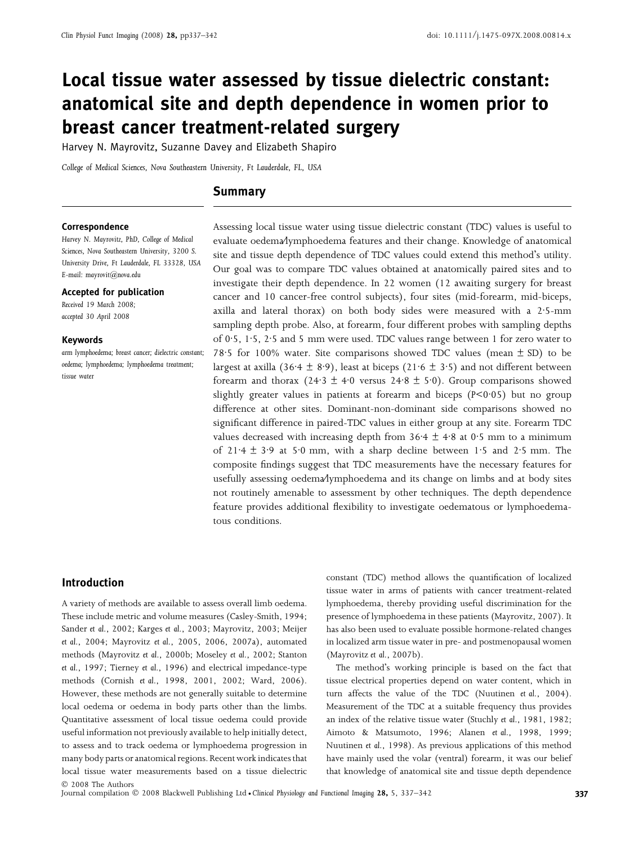# Local tissue water assessed by tissue dielectric constant: anatomical site and depth dependence in women prior to breast cancer treatment-related surgery

Harvey N. Mayrovitz, Suzanne Davey and Elizabeth Shapiro

College of Medical Sciences, Nova Southeastern University, Ft Lauderdale, FL, USA

# Summary

#### Correspondence

Harvey N. Mayrovitz, PhD, College of Medical Sciences, Nova Southeastern University, 3200 S. University Drive, Ft Lauderdale, FL 33328, USA E-mail: mayrovit@nova.edu

#### Accepted for publication

Received 19 March 2008; accepted 30 April 2008

#### Keywords

arm lymphoedema; breast cancer; dielectric constant; oedema; lymphoedema; lymphoedema treatment; tissue water

Assessing local tissue water using tissue dielectric constant (TDC) values is useful to evaluate oedema⁄lymphoedema features and their change. Knowledge of anatomical site and tissue depth dependence of TDC values could extend this method's utility. Our goal was to compare TDC values obtained at anatomically paired sites and to investigate their depth dependence. In 22 women (12 awaiting surgery for breast cancer and 10 cancer-free control subjects), four sites (mid-forearm, mid-biceps, axilla and lateral thorax) on both body sides were measured with a  $2.5$ -mm sampling depth probe. Also, at forearm, four different probes with sampling depths of 0.5, 1.5, 2.5 and 5 mm were used. TDC values range between 1 for zero water to 78.5 for 100% water. Site comparisons showed TDC values (mean  $\pm$  SD) to be largest at axilla (36 $\cdot$ 4 ± 8 $\cdot$ 9), least at biceps (21 $\cdot$ 6 ± 3 $\cdot$ 5) and not different between forearm and thorax (24·3  $\pm$  4·0 versus 24·8  $\pm$  5·0). Group comparisons showed slightly greater values in patients at forearm and biceps  $(P < 0.05)$  but no group difference at other sites. Dominant-non-dominant side comparisons showed no significant difference in paired-TDC values in either group at any site. Forearm TDC values decreased with increasing depth from  $36.4 \pm 4.8$  at 0.5 mm to a minimum of 21.4  $\pm$  3.9 at 5.0 mm, with a sharp decline between 1.5 and 2.5 mm. The composite findings suggest that TDC measurements have the necessary features for usefully assessing oedema⁄lymphoedema and its change on limbs and at body sites not routinely amenable to assessment by other techniques. The depth dependence feature provides additional flexibility to investigate oedematous or lymphoedematous conditions.

# Introduction

A variety of methods are available to assess overall limb oedema. These include metric and volume measures (Casley-Smith, 1994; Sander et al., 2002; Karges et al., 2003; Mayrovitz, 2003; Meijer et al., 2004; Mayrovitz et al., 2005, 2006, 2007a), automated methods (Mayrovitz et al., 2000b; Moseley et al., 2002; Stanton et al., 1997; Tierney et al., 1996) and electrical impedance-type methods (Cornish et al., 1998, 2001, 2002; Ward, 2006). However, these methods are not generally suitable to determine local oedema or oedema in body parts other than the limbs. Quantitative assessment of local tissue oedema could provide useful information not previously available to help initially detect, to assess and to track oedema or lymphoedema progression in many body parts or anatomical regions. Recent work indicates that local tissue water measurements based on a tissue dielectric constant (TDC) method allows the quantification of localized tissue water in arms of patients with cancer treatment-related lymphoedema, thereby providing useful discrimination for the presence of lymphoedema in these patients (Mayrovitz, 2007). It has also been used to evaluate possible hormone-related changes in localized arm tissue water in pre- and postmenopausal women (Mayrovitz et al., 2007b).

The method's working principle is based on the fact that tissue electrical properties depend on water content, which in turn affects the value of the TDC (Nuutinen et al., 2004). Measurement of the TDC at a suitable frequency thus provides an index of the relative tissue water (Stuchly et al., 1981, 1982; Aimoto & Matsumoto, 1996; Alanen et al., 1998, 1999; Nuutinen et al., 1998). As previous applications of this method have mainly used the volar (ventral) forearm, it was our belief that knowledge of anatomical site and tissue depth dependence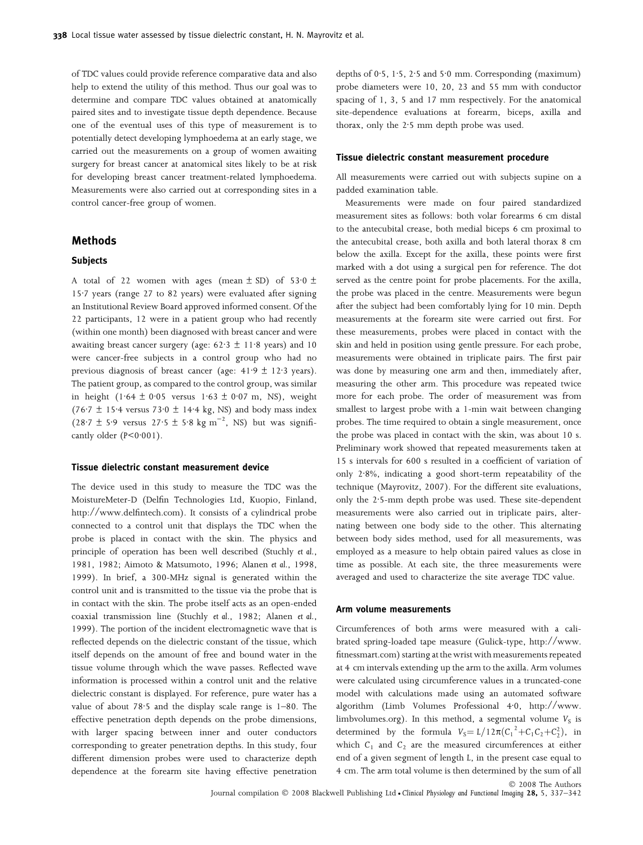of TDC values could provide reference comparative data and also help to extend the utility of this method. Thus our goal was to determine and compare TDC values obtained at anatomically paired sites and to investigate tissue depth dependence. Because one of the eventual uses of this type of measurement is to potentially detect developing lymphoedema at an early stage, we carried out the measurements on a group of women awaiting surgery for breast cancer at anatomical sites likely to be at risk for developing breast cancer treatment-related lymphoedema. Measurements were also carried out at corresponding sites in a control cancer-free group of women.

## Methods

#### **Subjects**

A total of 22 women with ages (mean  $\pm$  SD) of 53 $\cdot$ 0  $\pm$ 15 $\cdot$ 7 years (range 27 to 82 years) were evaluated after signing an Institutional Review Board approved informed consent. Of the 22 participants, 12 were in a patient group who had recently (within one month) been diagnosed with breast cancer and were awaiting breast cancer surgery (age:  $62.3 \pm 11.8$  years) and 10 were cancer-free subjects in a control group who had no previous diagnosis of breast cancer (age:  $41.9 \pm 12.3$  years). The patient group, as compared to the control group, was similar in height  $(1.64 \pm 0.05$  versus  $1.63 \pm 0.07$  m, NS), weight (76.7  $\pm$  15.4 versus 73.0  $\pm$  14.4 kg, NS) and body mass index  $(28.7 \pm 5.9 \text{ versus } 27.5 \pm 5.8 \text{ kg m}^{-2}, \text{ NS})$  but was significantly older  $(P < 0.001)$ .

#### Tissue dielectric constant measurement device

The device used in this study to measure the TDC was the MoistureMeter-D (Delfin Technologies Ltd, Kuopio, Finland, http://www.delfintech.com). It consists of a cylindrical probe connected to a control unit that displays the TDC when the probe is placed in contact with the skin. The physics and principle of operation has been well described (Stuchly et al., 1981, 1982; Aimoto & Matsumoto, 1996; Alanen et al., 1998, 1999). In brief, a 300-MHz signal is generated within the control unit and is transmitted to the tissue via the probe that is in contact with the skin. The probe itself acts as an open-ended coaxial transmission line (Stuchly et al., 1982; Alanen et al., 1999). The portion of the incident electromagnetic wave that is reflected depends on the dielectric constant of the tissue, which itself depends on the amount of free and bound water in the tissue volume through which the wave passes. Reflected wave information is processed within a control unit and the relative dielectric constant is displayed. For reference, pure water has a value of about  $78.5$  and the display scale range is  $1-80$ . The effective penetration depth depends on the probe dimensions, with larger spacing between inner and outer conductors corresponding to greater penetration depths. In this study, four different dimension probes were used to characterize depth dependence at the forearm site having effective penetration

depths of 0.5, 1.5, 2.5 and 5.0 mm. Corresponding (maximum) probe diameters were 10, 20, 23 and 55 mm with conductor spacing of 1, 3, 5 and 17 mm respectively. For the anatomical site-dependence evaluations at forearm, biceps, axilla and thorax, only the 2.5 mm depth probe was used.

#### Tissue dielectric constant measurement procedure

All measurements were carried out with subjects supine on a padded examination table.

Measurements were made on four paired standardized measurement sites as follows: both volar forearms 6 cm distal to the antecubital crease, both medial biceps 6 cm proximal to the antecubital crease, both axilla and both lateral thorax 8 cm below the axilla. Except for the axilla, these points were first marked with a dot using a surgical pen for reference. The dot served as the centre point for probe placements. For the axilla, the probe was placed in the centre. Measurements were begun after the subject had been comfortably lying for 10 min. Depth measurements at the forearm site were carried out first. For these measurements, probes were placed in contact with the skin and held in position using gentle pressure. For each probe, measurements were obtained in triplicate pairs. The first pair was done by measuring one arm and then, immediately after, measuring the other arm. This procedure was repeated twice more for each probe. The order of measurement was from smallest to largest probe with a 1-min wait between changing probes. The time required to obtain a single measurement, once the probe was placed in contact with the skin, was about 10 s. Preliminary work showed that repeated measurements taken at 15 s intervals for 600 s resulted in a coefficient of variation of only  $2.8\%$ , indicating a good short-term repeatability of the technique (Mayrovitz, 2007). For the different site evaluations, only the 2.5-mm depth probe was used. These site-dependent measurements were also carried out in triplicate pairs, alternating between one body side to the other. This alternating between body sides method, used for all measurements, was employed as a measure to help obtain paired values as close in time as possible. At each site, the three measurements were averaged and used to characterize the site average TDC value.

#### Arm volume measurements

Circumferences of both arms were measured with a calibrated spring-loaded tape measure (Gulick-type, http://www. fitnessmart.com) starting at the wrist with measurements repeated at 4 cm intervals extending up the arm to the axilla. Arm volumes were calculated using circumference values in a truncated-cone model with calculations made using an automated software algorithm (Limb Volumes Professional  $4.0$ , http://www. limbvolumes.org). In this method, a segmental volume  $V_S$  is determined by the formula  $V_s = L/12\pi(C_1^2 + C_1C_2 + C_2^2)$ , in which  $C_1$  and  $C_2$  are the measured circumferences at either end of a given segment of length L, in the present case equal to 4 cm. The arm total volume is then determined by the sum of all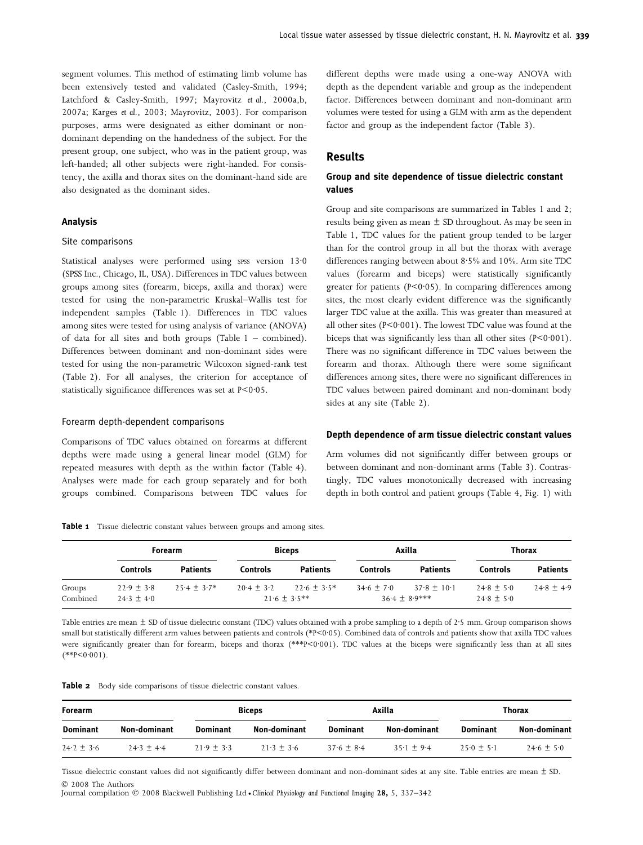segment volumes. This method of estimating limb volume has been extensively tested and validated (Casley-Smith, 1994; Latchford & Casley-Smith, 1997; Mayrovitz et al., 2000a,b, 2007a; Karges et al., 2003; Mayrovitz, 2003). For comparison purposes, arms were designated as either dominant or nondominant depending on the handedness of the subject. For the present group, one subject, who was in the patient group, was left-handed; all other subjects were right-handed. For consistency, the axilla and thorax sites on the dominant-hand side are also designated as the dominant sides.

#### Analysis

#### Site comparisons

Statistical analyses were performed using spss version  $13.0$ (SPSS Inc., Chicago, IL, USA). Differences in TDC values between groups among sites (forearm, biceps, axilla and thorax) were tested for using the non-parametric Kruskal–Wallis test for independent samples (Table 1). Differences in TDC values among sites were tested for using analysis of variance (ANOVA) of data for all sites and both groups (Table 1 – combined). Differences between dominant and non-dominant sides were tested for using the non-parametric Wilcoxon signed-rank test (Table 2). For all analyses, the criterion for acceptance of statistically significance differences was set at  $P < 0.05$ .

#### Forearm depth-dependent comparisons

Comparisons of TDC values obtained on forearms at different depths were made using a general linear model (GLM) for repeated measures with depth as the within factor (Table 4). Analyses were made for each group separately and for both groups combined. Comparisons between TDC values for different depths were made using a one-way ANOVA with depth as the dependent variable and group as the independent factor. Differences between dominant and non-dominant arm volumes were tested for using a GLM with arm as the dependent factor and group as the independent factor (Table 3).

## Results

### Group and site dependence of tissue dielectric constant values

Group and site comparisons are summarized in Tables 1 and 2; results being given as mean  $\pm$  SD throughout. As may be seen in Table 1, TDC values for the patient group tended to be larger than for the control group in all but the thorax with average differences ranging between about  $8.5\%$  and  $10\%$ . Arm site TDC values (forearm and biceps) were statistically significantly greater for patients ( $P < 0.05$ ). In comparing differences among sites, the most clearly evident difference was the significantly larger TDC value at the axilla. This was greater than measured at all other sites ( $P < 0.001$ ). The lowest TDC value was found at the biceps that was significantly less than all other sites  $(P < 0.001)$ . There was no significant difference in TDC values between the forearm and thorax. Although there were some significant differences among sites, there were no significant differences in TDC values between paired dominant and non-dominant body sides at any site (Table 2).

#### Depth dependence of arm tissue dielectric constant values

Arm volumes did not significantly differ between groups or between dominant and non-dominant arms (Table 3). Contrastingly, TDC values monotonically decreased with increasing depth in both control and patient groups (Table 4, Fig. 1) with

|  |  |  | Table 1 Tissue dielectric constant values between groups and among sites |  |  |  |  |  |  |  |
|--|--|--|--------------------------------------------------------------------------|--|--|--|--|--|--|--|
|--|--|--|--------------------------------------------------------------------------|--|--|--|--|--|--|--|

|                    | <b>Forearm</b>                 |                 | <b>Biceps</b>  |                                 | Axilla       |                                  | Thorax                           |                 |
|--------------------|--------------------------------|-----------------|----------------|---------------------------------|--------------|----------------------------------|----------------------------------|-----------------|
|                    | Controls                       | <b>Patients</b> | Controls       | <b>Patients</b>                 | Controls     | <b>Patients</b>                  | <b>Controls</b>                  | <b>Patients</b> |
| Groups<br>Combined | $22.9 \pm 3.8$<br>$24.3 + 4.0$ | $25.4 + 3.7*$   | $20.4 \pm 3.2$ | $22.6 + 3.5*$<br>$21.6 + 3.5**$ | $34.6 + 7.0$ | $37.8 + 10.1$<br>$36.4 + 8.9***$ | $24.8 \pm 5.0$<br>$24.8 \pm 5.0$ | $24.8 \pm 4.9$  |

Table entries are mean  $\pm$  SD of tissue dielectric constant (TDC) values obtained with a probe sampling to a depth of 2.5 mm. Group comparison shows small but statistically different arm values between patients and controls (\*P<0.05). Combined data of controls and patients show that axilla TDC values were significantly greater than for forearm, biceps and thorax (\*\*\*P<0.001). TDC values at the biceps were significantly less than at all sites  $(**P<0.001).$ 

|  |  |  |  |  | <b>Table 2</b> Body side comparisons of tissue dielectric constant values. |  |  |  |  |  |
|--|--|--|--|--|----------------------------------------------------------------------------|--|--|--|--|--|
|--|--|--|--|--|----------------------------------------------------------------------------|--|--|--|--|--|

| <b>Forearm</b>  |              | <b>Biceps</b> |              | Axilla          |                          | Thorax          |                |
|-----------------|--------------|---------------|--------------|-----------------|--------------------------|-----------------|----------------|
| <b>Dominant</b> | Non-dominant | Dominant      | Non-dominant | <b>Dominant</b> | Non-dominant             | <b>Dominant</b> | Non-dominant   |
| $24.2 \pm 3.6$  | $24.3 + 4.4$ | $21.9 + 3.3$  | $21.3 + 3.6$ | $37.6 + 8.4$    | $35 \cdot 1 + 9 \cdot 4$ | $25.0 + 5.1$    | $24.6 \pm 5.0$ |

Tissue dielectric constant values did not significantly differ between dominant and non-dominant sides at any site. Table entries are mean  $\pm$  SD. - 2008 The Authors

Journal compilation © 2008 Blackwell Publishing Ltd • Clinical Physiology and Functional Imaging 28, 5, 337–342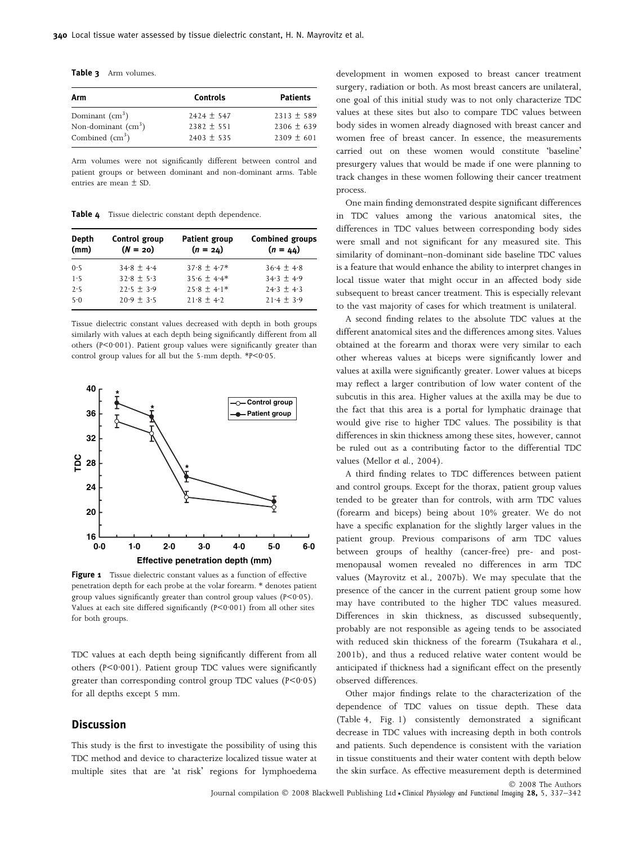Table 3 Arm volumes.

| Arm                                  | <b>Controls</b> | <b>Patients</b> |
|--------------------------------------|-----------------|-----------------|
| Dominant $\text{cm}^3$ )             | $2424 \pm 547$  | $2313 \pm 589$  |
| Non-dominant $\text{ (cm}^3\text{)}$ | $2382 \pm 551$  | $2306 \pm 639$  |
| Combined $\text{ (cm}^3\text{)}$     | $2403 \pm 535$  | $2309 \pm 601$  |

Arm volumes were not significantly different between control and patient groups or between dominant and non-dominant arms. Table entries are mean ± SD.

Table 4 Tissue dielectric constant depth dependence.

| <b>Depth</b> | Control group  | <b>Patient group</b> | <b>Combined groups</b> |
|--------------|----------------|----------------------|------------------------|
| (mm)         | $(N = 20)$     | $(n = 24)$           | $(n = 44)$             |
| 0.5          | $34.8 \pm 4.4$ | $37.8 + 4.7*$        | $36.4 + 4.8$           |
| 1.5          | $32.8 + 5.3$   | $35.6 + 4.4*$        | $34.3 + 4.9$           |
| 2.5          | $22.5 + 3.9$   | $25.8 + 4.1*$        | $24.3 + 4.3$           |
| 5.0          | $20.9 + 3.5$   | $21.8 + 4.2$         | $21.4 + 3.9$           |

Tissue dielectric constant values decreased with depth in both groups similarly with values at each depth being significantly different from all others (P<0.001). Patient group values were significantly greater than control group values for all but the 5-mm depth.  $*P<0.05$ .



Figure 1 Tissue dielectric constant values as a function of effective penetration depth for each probe at the volar forearm. \* denotes patient group values significantly greater than control group values  $(P < 0.05)$ . Values at each site differed significantly  $(P < 0.001)$  from all other sites for both groups.

TDC values at each depth being significantly different from all others ( $P < 0.001$ ). Patient group TDC values were significantly greater than corresponding control group TDC values  $(P < 0.05)$ for all depths except 5 mm.

## Discussion

This study is the first to investigate the possibility of using this TDC method and device to characterize localized tissue water at multiple sites that are 'at risk' regions for lymphoedema

development in women exposed to breast cancer treatment surgery, radiation or both. As most breast cancers are unilateral, one goal of this initial study was to not only characterize TDC values at these sites but also to compare TDC values between body sides in women already diagnosed with breast cancer and women free of breast cancer. In essence, the measurements carried out on these women would constitute 'baseline' presurgery values that would be made if one were planning to track changes in these women following their cancer treatment process.

One main finding demonstrated despite significant differences in TDC values among the various anatomical sites, the differences in TDC values between corresponding body sides were small and not significant for any measured site. This similarity of dominant–non-dominant side baseline TDC values is a feature that would enhance the ability to interpret changes in local tissue water that might occur in an affected body side subsequent to breast cancer treatment. This is especially relevant to the vast majority of cases for which treatment is unilateral.

A second finding relates to the absolute TDC values at the different anatomical sites and the differences among sites. Values obtained at the forearm and thorax were very similar to each other whereas values at biceps were significantly lower and values at axilla were significantly greater. Lower values at biceps may reflect a larger contribution of low water content of the subcutis in this area. Higher values at the axilla may be due to the fact that this area is a portal for lymphatic drainage that would give rise to higher TDC values. The possibility is that differences in skin thickness among these sites, however, cannot be ruled out as a contributing factor to the differential TDC values (Mellor et al., 2004).

A third finding relates to TDC differences between patient and control groups. Except for the thorax, patient group values tended to be greater than for controls, with arm TDC values (forearm and biceps) being about 10% greater. We do not have a specific explanation for the slightly larger values in the patient group. Previous comparisons of arm TDC values between groups of healthy (cancer-free) pre- and postmenopausal women revealed no differences in arm TDC values (Mayrovitz et al., 2007b). We may speculate that the presence of the cancer in the current patient group some how may have contributed to the higher TDC values measured. Differences in skin thickness, as discussed subsequently, probably are not responsible as ageing tends to be associated with reduced skin thickness of the forearm (Tsukahara et al., 2001b), and thus a reduced relative water content would be anticipated if thickness had a significant effect on the presently observed differences.

Other major findings relate to the characterization of the dependence of TDC values on tissue depth. These data (Table 4, Fig. 1) consistently demonstrated a significant decrease in TDC values with increasing depth in both controls and patients. Such dependence is consistent with the variation in tissue constituents and their water content with depth below the skin surface. As effective measurement depth is determined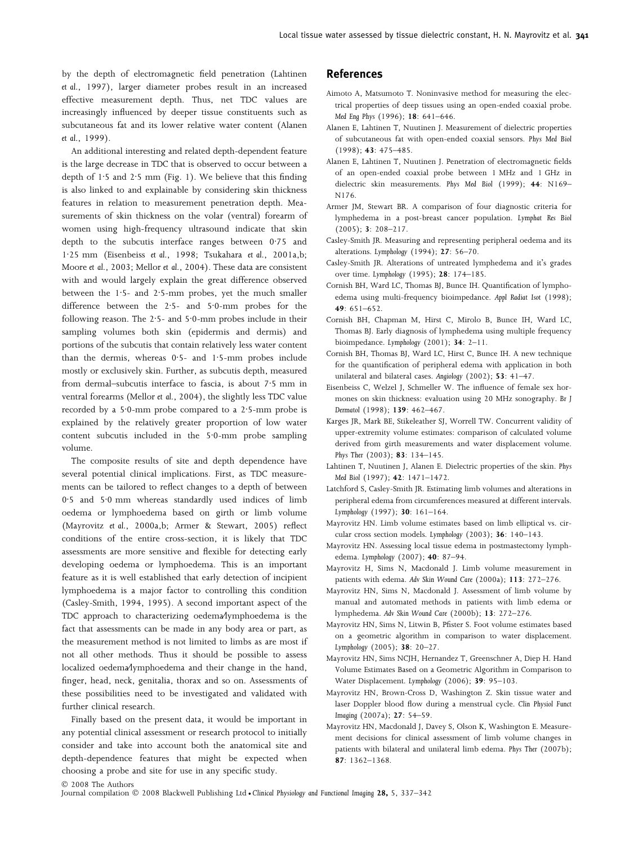by the depth of electromagnetic field penetration (Lahtinen et al., 1997), larger diameter probes result in an increased effective measurement depth. Thus, net TDC values are increasingly influenced by deeper tissue constituents such as subcutaneous fat and its lower relative water content (Alanen et al., 1999).

An additional interesting and related depth-dependent feature is the large decrease in TDC that is observed to occur between a depth of  $1.5$  and  $2.5$  mm (Fig. 1). We believe that this finding is also linked to and explainable by considering skin thickness features in relation to measurement penetration depth. Measurements of skin thickness on the volar (ventral) forearm of women using high-frequency ultrasound indicate that skin depth to the subcutis interface ranges between  $0.75$  and 1·25 mm (Eisenbeiss et al., 1998; Tsukahara et al., 2001a,b; Moore et al., 2003; Mellor et al., 2004). These data are consistent with and would largely explain the great difference observed between the  $1.5-$  and  $2.5-$ mm probes, yet the much smaller difference between the  $2.5-$  and  $5.0-$ mm probes for the following reason. The  $2.5-$  and  $5.0-$ mm probes include in their sampling volumes both skin (epidermis and dermis) and portions of the subcutis that contain relatively less water content than the dermis, whereas  $0.5-$  and  $1.5-$ mm probes include mostly or exclusively skin. Further, as subcutis depth, measured from dermal-subcutis interface to fascia, is about 7.5 mm in ventral forearms (Mellor et al., 2004), the slightly less TDC value recorded by a 5.0-mm probe compared to a  $2.5$ -mm probe is explained by the relatively greater proportion of low water content subcutis included in the  $5.0$ -mm probe sampling volume.

The composite results of site and depth dependence have several potential clinical implications. First, as TDC measurements can be tailored to reflect changes to a depth of between 0.5 and 5.0 mm whereas standardly used indices of limb oedema or lymphoedema based on girth or limb volume (Mayrovitz et al., 2000a,b; Armer & Stewart, 2005) reflect conditions of the entire cross-section, it is likely that TDC assessments are more sensitive and flexible for detecting early developing oedema or lymphoedema. This is an important feature as it is well established that early detection of incipient lymphoedema is a major factor to controlling this condition (Casley-Smith, 1994, 1995). A second important aspect of the TDC approach to characterizing oedema⁄lymphoedema is the fact that assessments can be made in any body area or part, as the measurement method is not limited to limbs as are most if not all other methods. Thus it should be possible to assess localized oedema⁄lymphoedema and their change in the hand, finger, head, neck, genitalia, thorax and so on. Assessments of these possibilities need to be investigated and validated with further clinical research.

Finally based on the present data, it would be important in any potential clinical assessment or research protocol to initially consider and take into account both the anatomical site and depth-dependence features that might be expected when choosing a probe and site for use in any specific study.

## References

- Aimoto A, Matsumoto T. Noninvasive method for measuring the electrical properties of deep tissues using an open-ended coaxial probe. Med Eng Phys (1996); 18: 641–646.
- Alanen E, Lahtinen T, Nuutinen J. Measurement of dielectric properties of subcutaneous fat with open-ended coaxial sensors. Phys Med Biol (1998); 43: 475–485.
- Alanen E, Lahtinen T, Nuutinen J. Penetration of electromagnetic fields of an open-ended coaxial probe between 1 MHz and 1 GHz in dielectric skin measurements. Phys Med Biol (1999); 44: N169– N176.
- Armer JM, Stewart BR. A comparison of four diagnostic criteria for lymphedema in a post-breast cancer population. Lymphat Res Biol (2005); 3: 208–217.
- Casley-Smith JR. Measuring and representing peripheral oedema and its alterations. Lymphology (1994); 27: 56–70.
- Casley-Smith JR. Alterations of untreated lymphedema and it's grades over time. Lymphology (1995); 28: 174–185.
- Cornish BH, Ward LC, Thomas BJ, Bunce IH. Quantification of lymphoedema using multi-frequency bioimpedance. Appl Radiat Isot (1998); 49: 651–652.
- Cornish BH, Chapman M, Hirst C, Mirolo B, Bunce IH, Ward LC, Thomas BJ. Early diagnosis of lymphedema using multiple frequency bioimpedance. Lymphology (2001); 34: 2–11.
- Cornish BH, Thomas BJ, Ward LC, Hirst C, Bunce IH. A new technique for the quantification of peripheral edema with application in both unilateral and bilateral cases. Angiology (2002); 53: 41–47.
- Eisenbeiss C, Welzel J, Schmeller W. The influence of female sex hormones on skin thickness: evaluation using 20 MHz sonography. Br J Dermatol (1998); 139: 462–467.
- Karges JR, Mark BE, Stikeleather SJ, Worrell TW. Concurrent validity of upper-extremity volume estimates: comparison of calculated volume derived from girth measurements and water displacement volume. Phys Ther (2003); 83: 134–145.
- Lahtinen T, Nuutinen J, Alanen E. Dielectric properties of the skin. Phys Med Biol (1997); 42: 1471–1472.
- Latchford S, Casley-Smith JR. Estimating limb volumes and alterations in peripheral edema from circumferences measured at different intervals. Lymphology (1997); 30: 161–164.
- Mayrovitz HN. Limb volume estimates based on limb elliptical vs. circular cross section models. Lymphology (2003); 36: 140–143.
- Mayrovitz HN. Assessing local tissue edema in postmastectomy lymphedema. Lymphology (2007); 40: 87–94.
- Mayrovitz H, Sims N, Macdonald J. Limb volume measurement in patients with edema. Adv Skin Wound Care (2000a); 113: 272–276.
- Mayrovitz HN, Sims N, Macdonald J. Assessment of limb volume by manual and automated methods in patients with limb edema or lymphedema. Adv Skin Wound Care (2000b); 13: 272–276.
- Mayrovitz HN, Sims N, Litwin B, Pfister S. Foot volume estimates based on a geometric algorithm in comparison to water displacement. Lymphology (2005); 38: 20–27.
- Mayrovitz HN, Sims NCJH, Hernandez T, Greenschner A, Diep H. Hand Volume Estimates Based on a Geometric Algorithm in Comparison to Water Displacement. Lymphology (2006); 39: 95–103.
- Mayrovitz HN, Brown-Cross D, Washington Z. Skin tissue water and laser Doppler blood flow during a menstrual cycle. Clin Physiol Funct Imaging (2007a); 27: 54–59.
- Mayrovitz HN, Macdonald J, Davey S, Olson K, Washington E. Measurement decisions for clinical assessment of limb volume changes in patients with bilateral and unilateral limb edema. Phys Ther (2007b); 87: 1362–1368.